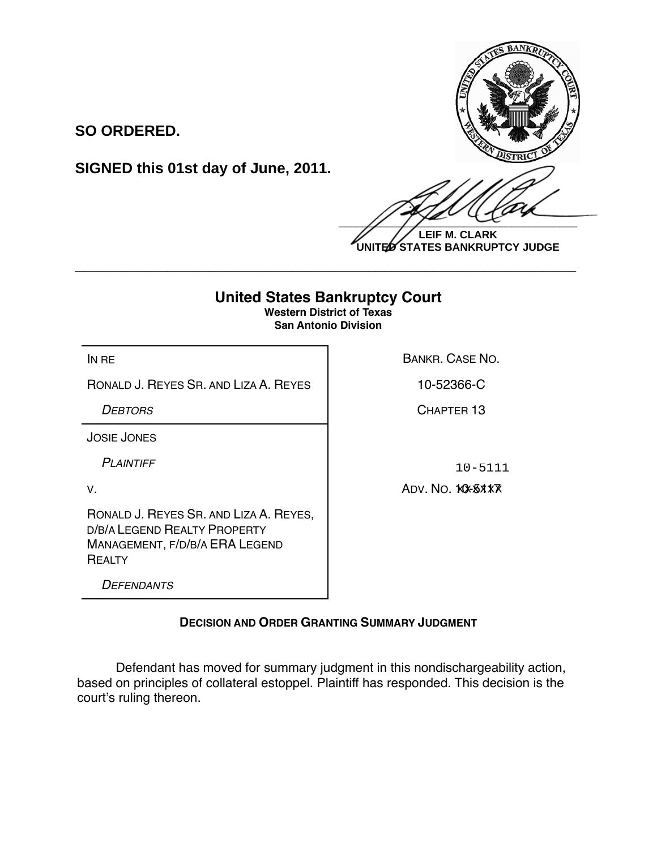

**LEIF M. CLARK UNITED STATES BANKRUPTCY JUDGE**

## **United States Bankruptcy Court Western District of Texas**

**\_\_\_\_\_\_\_\_\_\_\_\_\_\_\_\_\_\_\_\_\_\_\_\_\_\_\_\_\_\_\_\_\_\_\_\_\_\_\_\_\_\_\_\_\_\_\_\_\_\_\_\_\_\_\_\_\_\_\_\_**

**San Antonio Division**

IN RE BANKR. CASE NO.

RONALD J. REYES SR. AND LIZA A. REYES 10-52366-C

**SIGNED this 01st day of June, 2011.**

**SO ORDERED.**

JOSIE JONES

*PLAINTIFF*

RONALD J. REYES SR. AND LIZA A. REYES, D/B/A LEGEND REALTY PROPERTY MANAGEMENT, F/D/B/A ERA LEGEND **REALTY** 

*DEFENDANTS*

*DEBTORS* CHAPTER 13

 $PLAIN IIF$  10-5111<br>V. ADV. NO. 10-5111

**DECISION AND ORDER GRANTING SUMMARY JUDGMENT** 

Defendant has moved for summary judgment in this nondischargeability action, based on principles of collateral estoppel. Plaintiff has responded. This decision is the court's ruling thereon.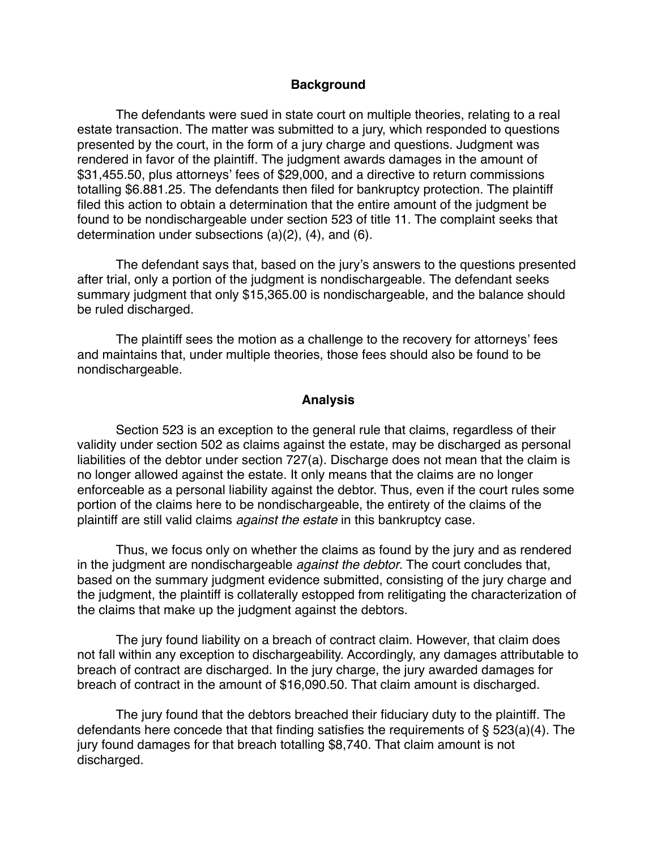## **Background**

The defendants were sued in state court on multiple theories, relating to a real estate transaction. The matter was submitted to a jury, which responded to questions presented by the court, in the form of a jury charge and questions. Judgment was rendered in favor of the plaintiff. The judgment awards damages in the amount of \$31,455.50, plus attorneys' fees of \$29,000, and a directive to return commissions totalling \$6.881.25. The defendants then filed for bankruptcy protection. The plaintiff filed this action to obtain a determination that the entire amount of the judgment be found to be nondischargeable under section 523 of title 11. The complaint seeks that determination under subsections (a)(2), (4), and (6).

The defendant says that, based on the jury's answers to the questions presented after trial, only a portion of the judgment is nondischargeable. The defendant seeks summary judgment that only \$15,365.00 is nondischargeable, and the balance should be ruled discharged.

The plaintiff sees the motion as a challenge to the recovery for attorneys' fees and maintains that, under multiple theories, those fees should also be found to be nondischargeable.

## **Analysis**

Section 523 is an exception to the general rule that claims, regardless of their validity under section 502 as claims against the estate, may be discharged as personal liabilities of the debtor under section 727(a). Discharge does not mean that the claim is no longer allowed against the estate. It only means that the claims are no longer enforceable as a personal liability against the debtor. Thus, even if the court rules some portion of the claims here to be nondischargeable, the entirety of the claims of the plaintiff are still valid claims *against the estate* in this bankruptcy case.

Thus, we focus only on whether the claims as found by the jury and as rendered in the judgment are nondischargeable *against the debtor*. The court concludes that, based on the summary judgment evidence submitted, consisting of the jury charge and the judgment, the plaintiff is collaterally estopped from relitigating the characterization of the claims that make up the judgment against the debtors.

The jury found liability on a breach of contract claim. However, that claim does not fall within any exception to dischargeability. Accordingly, any damages attributable to breach of contract are discharged. In the jury charge, the jury awarded damages for breach of contract in the amount of \$16,090.50. That claim amount is discharged.

The jury found that the debtors breached their fiduciary duty to the plaintiff. The defendants here concede that that finding satisfies the requirements of § 523(a)(4). The jury found damages for that breach totalling \$8,740. That claim amount is not discharged.